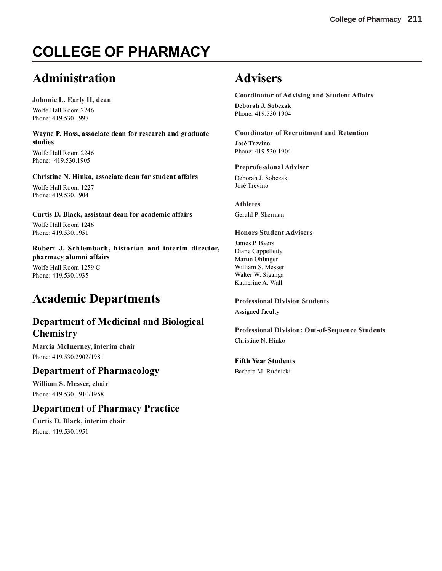# **COLLEGE OF PHARMACY**

# **Administration**

**Johnnie L. Early II, dean** Wolfe Hall Room 2246 Phone: 419.530.1997

**Wayne P. Hoss, associate dean for research and graduate studies**

Wolfe Hall Room 2246 Phone: 419.530.1905

### **Christine N. Hinko, associate dean for student affairs**

Wolfe Hall Room 1227 Phone: 419.530.1904

### **Curtis D. Black, assistant dean for academic affairs**

Wolfe Hall Room 1246 Phone: 419.530.1951

**Robert J. Schlembach, historian and interim director, pharmacy alumni affairs**

Wolfe Hall Room 1259 C Phone: 419.530.1935

# **Academic Departments**

# **Department of Medicinal and Biological Chemistry**

**Marcia McInerney, interim chair** Phone: 419.530.2902/1981

## **Department of Pharmacology**

**William S. Messer, chair** Phone: 419.530.1910/1958

## **Department of Pharmacy Practice**

**Curtis D. Black, interim chair** Phone: 419.530.1951

# **Advisers**

**Coordinator of Advising and Student Affairs Deborah J. Sobczak** Phone: 419.530.1904

**Coordinator of Recruitment and Retention**

**José Trevino** Phone: 419.530.1904

**Preprofessional Adviser** Deborah J. Sobczak

José Trevino

**Athletes** Gerald P. Sherman

### **Honors Student Advisers**

James P. Byers Diane Cappelletty Martin Ohlinger William S. Messer Walter W. Siganga Katherine A. Wall

**Professional Division Students**

Assigned faculty

**Professional Division: Out-of-Sequence Students** Christine N. Hinko

**Fifth Year Students**

Barbara M. Rudnicki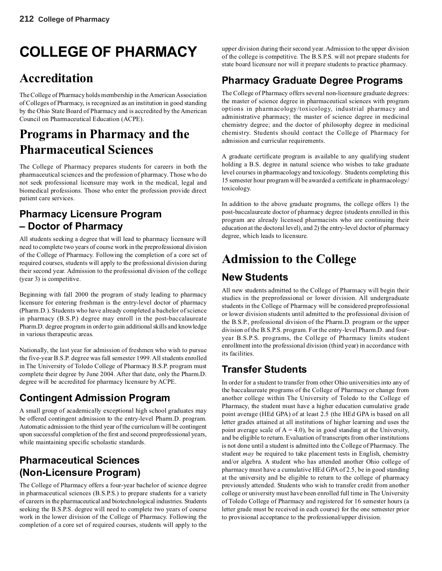# **COLLEGE OF PHARMACY**

# **Accreditation**

The College of Pharmacy holds membership in the American Association of Colleges of Pharmacy, is recognized as an institution in good standing by the Ohio State Board of Pharmacy and is accredited by the American Council on Pharmaceutical Education (ACPE).

# **Programs in Pharmacy and the Pharmaceutical Sciences**

The College of Pharmacy prepares students for careers in both the pharmaceutical sciences and the profession of pharmacy. Those who do not seek professional licensure may work in the medical, legal and biomedical professions. Those who enter the profession provide direct patient care services.

# **Pharmacy Licensure Program – Doctor of Pharmacy**

All students seeking a degree that will lead to pharmacy licensure will need to complete two years of course work in the preprofessional division of the College of Pharmacy. Following the completion of a core set of required courses, students will apply to the professional division during their second year. Admission to the professional division of the college (year 3) is competitive.

Beginning with fall 2000 the program of study leading to pharmacy licensure for entering freshman is the entry-level doctor of pharmacy (Pharm.D.). Students who have already completed a bachelor of science in pharmacy (B.S.P.) degree may enroll in the post-baccalaureate Pharm.D. degree program in order to gain additional skills and knowledge in various therapeutic areas.

Nationally, the last year for admission of freshmen who wish to pursue the five-year B.S.P. degree was fall semester 1999. All students enrolled in The University of Toledo College of Pharmacy B.S.P. program must complete their degree by June 2004. After that date, only the Pharm.D. degree will be accredited for pharmacy licensure by ACPE.

# **Contingent Admission Program**

A small group of academically exceptional high school graduates may be offered contingent admission to the entry-level Pharm.D. program. Automatic admission to the third year of the curriculum will be contingent upon successful completion of the first and second preprofessional years, while maintaining specific scholastic standards.

# **Pharmaceutical Sciences (Non-Licensure Program)**

The College of Pharmacy offers a four-year bachelor of science degree in pharmaceutical sciences (B.S.P.S.) to prepare students for a variety of careers in the pharmaceutical and biotechnological industries. Students seeking the B.S.P.S. degree will need to complete two years of course work in the lower division of the College of Pharmacy. Following the completion of a core set of required courses, students will apply to the

upper division during their second year. Admission to the upper division of the college is competitive. The B.S.P.S. will not prepare students for state board licensure nor will it prepare students to practice pharmacy.

# **Pharmacy Graduate Degree Programs**

The College of Pharmacy offers several non-licensure graduate degrees: the master of science degree in pharmaceutical sciences with program options in pharmacology/toxicology, industrial pharmacy and administrative pharmacy; the master of science degree in medicinal chemistry degree; and the doctor of philosophy degree in medicinal chemistry. Students should contact the College of Pharmacy for admission and curricular requirements.

A graduate certificate program is available to any qualifying student holding a B.S. degree in natural science who wishes to take graduate level courses in pharmacology and toxicology. Students completing this 15 semester hour program will be awarded a certificate in pharmacology/ toxicology.

In addition to the above graduate programs, the college offers 1) the post-baccalaureate doctor of pharmacy degree (students enrolled in this program are already licensed pharmacists who are continuing their education at the doctoral level), and 2) the entry-level doctor of pharmacy degree, which leads to licensure.

# **Admission to the College**

# **New Students**

All new students admitted to the College of Pharmacy will begin their studies in the preprofessional or lower division. All undergraduate students in the College of Pharmacy will be considered preprofessional or lower division students until admitted to the professional division of the B.S.P., professional division of the Pharm.D. program or the upper division of the B.S.P.S. program. For the entry-level Pharm.D. and fouryear B.S.P.S. programs, the College of Pharmacy limits student enrollment into the professional division (third year) in accordance with its facilities.

# **Transfer Students**

In order for a student to transfer from other Ohio universities into any of the baccalaureate programs of the College of Pharmacy or change from another college within The University of Toledo to the College of Pharmacy, the student must have a higher education cumulative grade point average (HEd GPA) of at least 2.5 (the HEd GPA is based on all letter grades attained at all institutions of higher learning and uses the point average scale of  $A = 4.0$ , be in good standing at the University, and be eligible to return. Evaluation of transcripts from other institutions is not done until a student is admitted into the College of Pharmacy. The student *may* be required to take placement tests in English, chemistry and/or algebra. A student who has attended another Ohio college of pharmacy must have a cumulative HEd GPA of 2.5, be in good standing at the university and be eligible to return to the college of pharmacy previously attended. Students who wish to transfer credit from another college or university must have been enrolled full time in The University of Toledo College of Pharmacy and registered for 16 semester hours (a letter grade must be received in each course) for the one semester prior to provisional acceptance to the professional/upper division.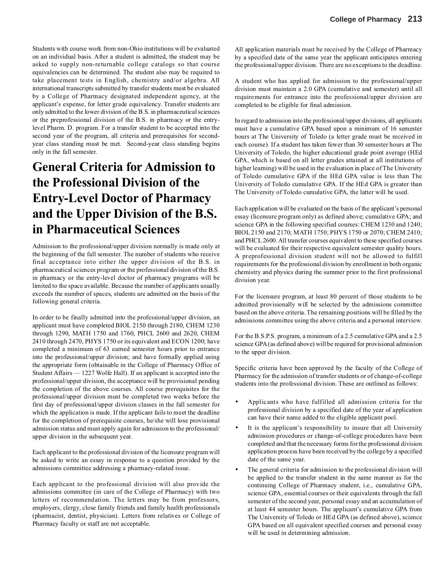Students with course work from non-Ohio institutions will be evaluated on an individual basis. After a student is admitted, the student may be asked to supply non-returnable college catalogs so that course equivalencies can be determined. The student also may be required to take placement tests in English, chemistry and/or algebra. All international transcripts submitted by transfer students must be evaluated by a College of Pharmacy designated independent agency, at the applicant's expense, for letter grade equivalency. Transfer students are only admitted to the lower division of the B.S. in pharmaceutical sciences or the preprofessional division of the B.S. in pharmacy or the entrylevel Pharm. D. program. For a transfer student to be accepted into the second year of the program, all criteria and prerequisites for secondyear class standing must be met. Second-year class standing begins only in the fall semester.

# **General Criteria for Admission to the Professional Division of the Entry-Level Doctor of Pharmacy and the Upper Division of the B.S. in Pharmaceutical Sciences**

Admission to the professional/upper division normally is made only at the beginning of the fall semester. The number of students who receive final acceptance into either the upper division of the B.S. in pharmaceutical sciences program or the professional division of the B.S. in pharmacy or the entry-level doctor of pharmacy programs will be limited to the space available. Because the number of applicants usually exceeds the number of spaces, students are admitted on the basis of the following general criteria.

In order to be finally admitted into the professional/upper division, an applicant must have completed BIOL 2150 through 2180, CHEM 1230 through 1290, MATH 1750 and 1760, PHCL 2600 and 2620, CHEM 2410 through 2470, PHYS 1750 or its equivalent and ECON 1200; have completed a minimum of 63 earned semester hours prior to entrance into the professional/upper division; and have formally applied using the appropriate form (obtainable in the College of Pharmacy Office of Student Affairs — 1227 Wolfe Hall). If an applicant is accepted into the professional/upper division, the acceptance will be provisional pending the completion of the above courses. All course prerequisites for the professional/upper division must be completed two weeks before the first day of professional/upper division classes in the fall semester for which the application is made. If the applicant fails to meet the deadline for the completion of prerequisite courses, he/she will lose provisional admission status and must apply again for admission to the professional/ upper division in the subsequent year.

Each applicant to the professional division of the licensure program will be asked to write an essay in response to a question provided by the admissions committee addressing a pharmacy-related issue.

Each applicant to the professional division will also provide the admissions committee (in care of the College of Pharmacy) with two letters of recommendation. The letters may be from professors, employers, clergy, close family friends and family health professionals (pharmacist, dentist, physician). Letters from relatives or College of Pharmacy faculty or staff are not acceptable.

All application materials must be received by the College of Pharmacy by a specified date of the same year the applicant anticipates entering the professional/upper division. There are no exceptions to the deadline.

A student who has applied for admission to the professional/upper division must maintain a 2.0 GPA (cumulative and semester) until all requirements for entrance into the professional/upper division are completed to be eligible for final admission.

In regard to admission into the professional/upper divisions, all applicants must have a cumulative GPA based upon a minimum of 16 semester hours at The University of Toledo (a letter grade must be received in each course). If a student has taken fewer than 30 semester hours at The University of Toledo, the higher educational grade point average (HEd GPA, which is based on all letter grades attained at all institutions of higher learning) will be used in the evaluation in place of The University of Toledo cumulative GPA if the HEd GPA value is less than The University of Toledo cumulative GPA. If the HEd GPA is greater than The University of Toledo cumulative GPA, the latter will be used.

Each application will be evaluated on the basis of the applicant's personal essay (licensure program only) as defined above; cumulative GPA; and science GPA in the following specified courses: CHEM 1230 and 1240; BIOL 2150 and 2170; MATH 1750; PHYS 1750 or 2070; CHEM 2410; and PHCL 2600. All transfer courses equivalent to these specified courses will be evaluated for their respective equivalent semester quality hours. A preprofessional division student will not be allowed to fulfill requirements for the professional division by enrollment in both organic chemistry and physics during the summer prior to the first professional division year.

For the licensure program, at least 80 percent of those students to be admitted provisionally will be selected by the admissions committee based on the above criteria. The remaining positions will be filled by the admissions committee using the above criteria and a personal interview.

For the B.S.P.S. program, a minimum of a 2.5 cumulative GPA and a 2.5 science GPA (as defined above) will be required for provisional admission to the upper division.

Specific criteria have been approved by the faculty of the College of Pharmacy for the admission of transfer students or of change-of-college students into the professional division. These are outlined as follows:

- Applicants who have fulfilled all admission criteria for the professional division by a specified date of the year of application can have their name added to the eligible applicant pool.
- It is the applicant's responsibility to insure that all University admission procedures or change-of-college procedures have been completed and that the necessary forms for the professional division application process have been received by the college by a specified date of the same year.
- The general criteria for admission to the professional division will be applied to the transfer student in the same manner as for the continuing College of Pharmacy student, i.e., cumulative GPA, science GPA, essential courses or their equivalents through the fall semester of the second year, personal essay and an accumulation of at least 44 semester hours. The applicant's cumulative GPA from The University of Toledo or HEd GPA (as defined above), science GPA based on all equivalent specified courses and personal essay will be used in determining admission.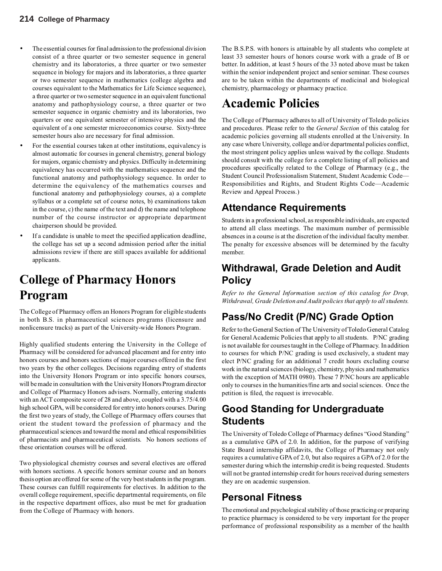- The essential courses for final admission to the professional division consist of a three quarter or two semester sequence in general chemistry and its laboratories, a three quarter or two semester sequence in biology for majors and its laboratories, a three quarter or two semester sequence in mathematics (college algebra and courses equivalent to the Mathematics for Life Science sequence), a three quarter or two semester sequence in an equivalent functional anatomy and pathophysiology course, a three quarter or two semester sequence in organic chemistry and its laboratories, two quarters or one equivalent semester of intensive physics and the equivalent of a one semester microeconomics course. Sixty-three semester hours also are necessary for final admission.
- For the essential courses taken at other institutions, equivalency is almost automatic for courses in general chemistry, general biology for majors, organic chemistry and physics. Difficulty in determining equivalency has occurred with the mathematics sequence and the functional anatomy and pathophysiology sequence. In order to determine the equivalency of the mathematics courses and functional anatomy and pathophysiology courses, a) a complete syllabus or a complete set of course notes, b) examinations taken in the course, c) the name of the text and d) the name and telephone number of the course instructor or appropriate department chairperson should be provided.
- If a candidate is unable to meet the specified application deadline, the college has set up a second admission period after the initial admissions review if there are still spaces available for additional applicants.

# **College of Pharmacy Honors Program**

The College of Pharmacy offers an Honors Program for eligible students in both B.S. in pharmaceutical sciences programs (licensure and nonlicensure tracks) as part of the University-wide Honors Program.

Highly qualified students entering the University in the College of Pharmacy will be considered for advanced placement and for entry into honors courses and honors sections of major courses offered in the first two years by the other colleges. Decisions regarding entry of students into the University Honors Program or into specific honors courses, will be made in consultation with the University Honors Program director and College of Pharmacy Honors advisers. Normally, entering students with an ACT composite score of 28 and above, coupled with a 3.75/4.00 high school GPA, will be considered for entry into honors courses. During the first two years of study, the College of Pharmacy offers courses that orient the student toward the profession of pharmacy and the pharmaceutical sciences and toward the moral and ethical responsibilities of pharmacists and pharmaceutical scientists. No honors sections of these orientation courses will be offered.

Two physiological chemistry courses and several electives are offered with honors sections. A specific honors seminar course and an honors thesis option are offered for some of the very best students in the program. These courses can fulfill requirements for electives. In addition to the overall college requirement, specific departmental requirements, on file in the respective department offices, also must be met for graduation from the College of Pharmacy with honors.

The B.S.P.S. with honors is attainable by all students who complete at least 33 semester hours of honors course work with a grade of B or better. In addition, at least 5 hours of the 33 noted above must be taken within the senior independent project and senior seminar. These courses are to be taken within the departments of medicinal and biological chemistry, pharmacology or pharmacy practice.

# **Academic Policies**

The College of Pharmacy adheres to all of University of Toledo policies and procedures. Please refer to the *General Section* of this catalog for academic policies governing all students enrolled at the University. In any case where University, college and/or departmental policies conflict, the most stringent policy applies unless waived by the college. Students should consult with the college for a complete listing of all policies and procedures specifically related to the College of Pharmacy (e.g., the Student Council Professionalism Statement, Student Academic Code— Responsibilities and Rights, and Student Rights Code—Academic Review and Appeal Process.)

# **Attendance Requirements**

Students in a professional school, as responsible individuals, are expected to attend all class meetings. The maximum number of permissible absences in a course is at the discretion of the individual faculty member. The penalty for excessive absences will be determined by the faculty member.

# **Withdrawal, Grade Deletion and Audit Policy**

*Refer to the General Information section of this catalog for Drop, Withdrawal, Grade Deletion and Audit policies that apply to all students.*

# **Pass/No Credit (P/NC) Grade Option**

Refer to the General Section of The University of Toledo General Catalog for General Academic Policies that apply to all students. P/NC grading is not available for courses taught in the College of Pharmacy. In addition to courses for which P/NC grading is used exclusively, a student may elect P/NC grading for an additional 7 credit hours excluding course work in the natural sciences (biology, chemistry, physics and mathematics with the exception of MATH 0980). These 7 P/NC hours are applicable only to courses in the humanities/fine arts and social sciences. Once the petition is filed, the request is irrevocable.

# **Good Standing for Undergraduate Students**

The University of Toledo College of Pharmacy defines "Good Standing" as a cumulative GPA of 2.0. In addition, for the purpose of verifying State Board internship affidavits, the College of Pharmacy not only requires a cumulative GPA of 2.0, but also requires a GPA of 2.0 for the semester during which the internship credit is being requested. Students will not be granted internship credit for hours received during semesters they are on academic suspension.

# **Personal Fitness**

The emotional and psychological stability of those practicing or preparing to practice pharmacy is considered to be very important for the proper performance of professional responsibility as a member of the health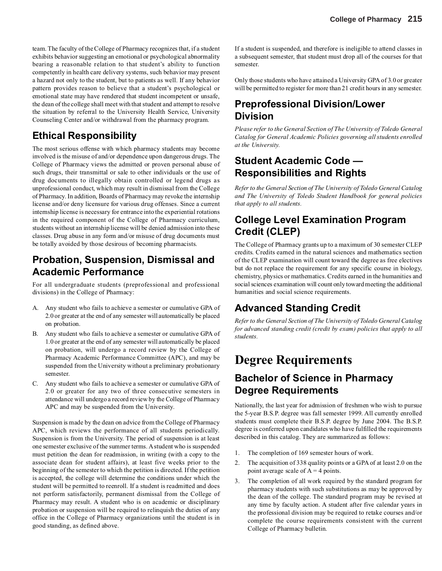team. The faculty of the College of Pharmacy recognizes that, if a student exhibits behavior suggesting an emotional or psychological abnormality bearing a reasonable relation to that student's ability to function competently in health care delivery systems, such behavior may present a hazard not only to the student, but to patients as well. If any behavior pattern provides reason to believe that a student's psychological or emotional state may have rendered that student incompetent or unsafe, the dean of the college shall meet with that student and attempt to resolve the situation by referral to the University Health Service, University Counseling Center and/or withdrawal from the pharmacy program.

# **Ethical Responsibility**

The most serious offense with which pharmacy students may become involved is the misuse of and/or dependence upon dangerous drugs. The College of Pharmacy views the admitted or proven personal abuse of such drugs, their transmittal or sale to other individuals or the use of drug documents to illegally obtain controlled or legend drugs as unprofessional conduct, which may result in dismissal from the College of Pharmacy. In addition, Boards of Pharmacy may revoke the internship license and/or deny licensure for various drug offenses. Since a current internship license is necessary for entrance into the experiential rotations in the required component of the College of Pharmacy curriculum, students without an internship license will be denied admission into these classes. Drug abuse in any form and/or misuse of drug documents must be totally avoided by those desirous of becoming pharmacists.

# **Probation, Suspension, Dismissal and Academic Performance**

For all undergraduate students (preprofessional and professional divisions) in the College of Pharmacy:

- A. Any student who fails to achieve a semester or cumulative GPA of 2.0 or greater at the end of any semester will automatically be placed on probation.
- B. Any student who fails to achieve a semester or cumulative GPA of 1.0 or greater at the end of any semester will automatically be placed on probation, will undergo a record review by the College of Pharmacy Academic Performance Committee (APC), and may be suspended from the University without a preliminary probationary semester.
- C. Any student who fails to achieve a semester or cumulative GPA of 2.0 or greater for any two of three consecutive semesters in attendance will undergo a record review by the College of Pharmacy APC and may be suspended from the University.

Suspension is made by the dean on advice from the College of Pharmacy APC, which reviews the performance of all students periodically. Suspension is from the University. The period of suspension is at least one semester exclusive of the summer terms. A student who is suspended must petition the dean for readmission, in writing (with a copy to the associate dean for student affairs), at least five weeks prior to the beginning of the semester to which the petition is directed. If the petition is accepted, the college will determine the conditions under which the student will be permitted to reenroll. If a student is readmitted and does not perform satisfactorily, permanent dismissal from the College of Pharmacy may result. A student who is on academic or disciplinary probation or suspension will be required to relinquish the duties of any office in the College of Pharmacy organizations until the student is in good standing, as defined above.

If a student is suspended, and therefore is ineligible to attend classes in a subsequent semester, that student must drop all of the courses for that semester.

Only those students who have attained a University GPA of 3.0 or greater will be permitted to register for more than 21 credit hours in any semester.

# **Preprofessional Division/Lower Division**

*Please refer to the General Section of The University of Toledo General Catalog for General Academic Policies governing all students enrolled at the University.*

# **Student Academic Code — Responsibilities and Rights**

*Refer to the General Section of The University of Toledo General Catalog and The University of Toledo Student Handbook for general policies that apply to all students.*

# **College Level Examination Program Credit (CLEP)**

The College of Pharmacy grants up to a maximum of 30 semester CLEP credits. Credits earned in the natural sciences and mathematics section of the CLEP examination will count toward the degree as free electives but do not replace the requirement for any specific course in biology, chemistry, physics or mathematics. Credits earned in the humanities and social sciences examination will count only toward meeting the additional humanities and social science requirements.

# **Advanced Standing Credit**

*Refer to the General Section of The University of Toledo General Catalog for advanced standing credit (credit by exam) policies that apply to all students.*

# **Degree Requirements**

# **Bachelor of Science in Pharmacy Degree Requirements**

Nationally, the last year for admission of freshmen who wish to pursue the 5-year B.S.P. degree was fall semester 1999. All currently enrolled students must complete their B.S.P. degree by June 2004. The B.S.P. degree is conferred upon candidates who have fulfilled the requirements described in this catalog. They are summarized as follows:

- 1. The completion of 169 semester hours of work.
- 2. The acquisition of 338 quality points or a GPA of at least 2.0 on the point average scale of  $A = 4$  points.
- 3. The completion of all work required by the standard program for pharmacy students with such substitutions as may be approved by the dean of the college. The standard program may be revised at any time by faculty action. A student after five calendar years in the professional division may be required to retake courses and/or complete the course requirements consistent with the current College of Pharmacy bulletin.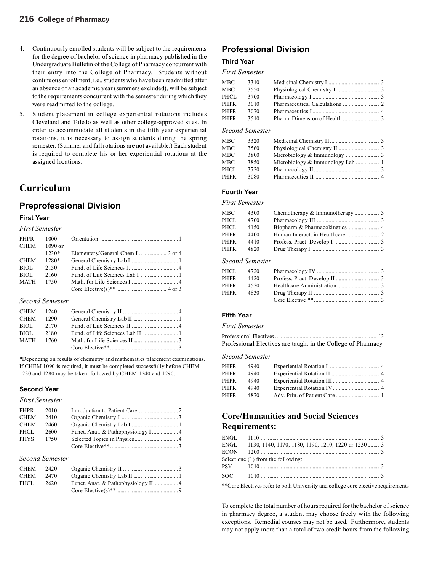- 4. Continuously enrolled students will be subject to the requirements for the degree of bachelor of science in pharmacy published in the Undergraduate Bulletin of the College of Pharmacy concurrent with their entry into the College of Pharmacy. Students without continuous enrollment, i.e., students who have been readmitted after an absence of an academic year (summers excluded), will be subject to the requirements concurrent with the semester during which they were readmitted to the college.
- 5. Student placement in college experiential rotations includes Cleveland and Toledo as well as other college-approved sites. In order to accommodate all students in the fifth year experiential rotations, it is necessary to assign students during the spring semester. (Summer and fall rotations are not available.) Each student is required to complete his or her experiential rotations at the assigned locations.

## **Curriculum**

## **Preprofessional Division**

### **First Year**

*First Semester*

| PHPR        |              |                                   |
|-------------|--------------|-----------------------------------|
|             | CHEM 1090 or |                                   |
|             | $1230*$      | Elementary/General Chem I  3 or 4 |
| <b>CHEM</b> | 1280*        |                                   |
| BIOL.       | 2150         |                                   |
| BIOL.       | 2160         |                                   |
| MATH        | - 1750       |                                   |
|             |              |                                   |

#### *Second Semester*

| CHEM 1290 |  |  |
|-----------|--|--|
| BIOL 2170 |  |  |
| BIOL 2180 |  |  |
| MATH 1760 |  |  |
|           |  |  |

\*Depending on results of chemistry and mathematics placement examinations. If CHEM 1090 is required, it must be completed successfully before CHEM 1230 and 1280 may be taken, followed by CHEM 1240 and 1290.

### **Second Year**

### *First Semester*

| PHPR 2010 |       |  |
|-----------|-------|--|
| CHEM      | 2410  |  |
| CHEM 2460 |       |  |
| PHCL      | -2600 |  |
| PHYS 1750 |       |  |
|           |       |  |
|           |       |  |

### *Second Semester*

| CHEM 2420 |  |  |
|-----------|--|--|
| CHEM 2470 |  |  |
| PHCL 2620 |  |  |
|           |  |  |

## **Professional Division**

### **Third Year**

### *First Semester*

| MBC        | 3310 |  |
|------------|------|--|
| <b>MBC</b> | 3550 |  |
| PHCL       | 3700 |  |
| PHPR       | 3010 |  |
| PHPR       | 3070 |  |
| PHPR       | 3510 |  |
|            |      |  |

### *Second Semester*

| MBC  | 3320 |  |
|------|------|--|
| MBC  | 3560 |  |
| MBC  | 3800 |  |
| MBC  | 3850 |  |
| PHCL | 3720 |  |
| PHPR | 3080 |  |
|      |      |  |

## **Fourth Year**

### *First Semester*

| MBC  | 4300 | Chemotherapy & Immunotherapy3 |  |
|------|------|-------------------------------|--|
| PHCL | 4700 |                               |  |
| PHCL | 4150 |                               |  |
| PHPR | 4400 |                               |  |
| PHPR | 4410 |                               |  |
| PHPR | 4820 |                               |  |
|      |      |                               |  |

#### *Second Semester*

| PHPR 4420 |  |
|-----------|--|
| PHPR 4520 |  |
| PHPR 4830 |  |
|           |  |

### **Fifth Year**

### *First Semester*

Professional Electives...................................................................... 13 Professional Electives are taught in the College of Pharmacy

#### *Second Semester*

| PHPR<br>4940 |  |
|--------------|--|
| PHPR<br>4940 |  |
| PHPR<br>4940 |  |
| PHPR<br>4940 |  |
| PHPR<br>4870 |  |

### **Core/Humanities and Social Sciences Requirements:**

| ENGL 1130, 1140, 1170, 1180, 1190, 1210, 1220 or 1230 3 |  |
|---------------------------------------------------------|--|
|                                                         |  |
| Select one (1) from the following:                      |  |
|                                                         |  |
|                                                         |  |

\*\*Core Electives refer to both University and college core elective requirements

To complete the total number of hours required for the bachelor of science in pharmacy degree, a student may choose freely with the following exceptions. Remedial courses may not be used. Furthermore, students may not apply more than a total of two credit hours from the following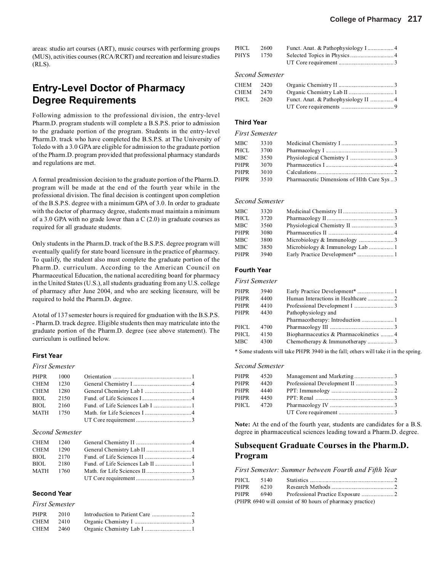areas: studio art courses (ART), music courses with performing groups (MUS), activities courses (RCA/RCRT) and recreation and leisure studies (RLS).

# **Entry-Level Doctor of Pharmacy Degree Requirements**

Following admission to the professional division, the entry-level Pharm.D. program students will complete a B.S.P.S. prior to admission to the graduate portion of the program. Students in the entry-level Pharm.D. track who have completed the B.S.P.S. at The University of Toledo with a 3.0 GPA are eligible for admission to the graduate portion of the Pharm.D. program provided that professional pharmacy standards and regulations are met.

A formal preadmission decision to the graduate portion of the Pharm.D. program will be made at the end of the fourth year while in the professional division. The final decision is contingent upon completion of the B.S.P.S. degree with a minimum GPA of 3.0. In order to graduate with the doctor of pharmacy degree, students must maintain a minimum of a 3.0 GPA with no grade lower than a C (2.0) in graduate courses as required for all graduate students.

Only students in the Pharm.D. track of the B.S.P.S. degree program will eventually qualify for state board licensure in the practice of pharmacy. To qualify, the student also must complete the graduate portion of the Pharm.D. curriculum. According to the American Council on Pharmaceutical Education, the national accrediting board for pharmacy in the United States (U.S.), all students graduating from any U.S. college of pharmacy after June 2004, and who are seeking licensure, will be required to hold the Pharm.D. degree.

A total of 137 semester hours is required for graduation with the B.S.P.S. - Pharm.D. track degree. Eligible students then may matriculate into the graduate portion of the Pharm.D. degree (see above statement). The curriculum is outlined below.

#### **First Year**

#### *First Semester*

| CHEM 1230 |  |  |
|-----------|--|--|
| CHEM 1280 |  |  |
| BIOL 2150 |  |  |
| BIOL 2160 |  |  |
| MATH 1750 |  |  |
|           |  |  |
|           |  |  |

#### *Second Semester*

|           | BIOL 2170 |  |
|-----------|-----------|--|
| BIOL 2180 |           |  |
|           | MATH 1760 |  |
|           |           |  |

#### **Second Year**

|           | <b>First Semester</b> |  |
|-----------|-----------------------|--|
| PHPR 2010 |                       |  |
| CHEM 2410 |                       |  |
| CHEM 2460 |                       |  |

| PHCL | 2600 |  |
|------|------|--|
| PHYS | 1750 |  |
|      |      |  |

#### *Second Semester*

| CHEM 2420   |      |  |
|-------------|------|--|
| <b>CHEM</b> | 2470 |  |
| PHCL.       | 2620 |  |
|             |      |  |

### **Third Year**

#### *First Semester*

| MBC  | 3310 |                                           |  |
|------|------|-------------------------------------------|--|
| PHCL | 3700 |                                           |  |
| MBC  | 3550 |                                           |  |
| PHPR | 3070 |                                           |  |
| PHPR | 3010 |                                           |  |
| PHPR | 3510 | Pharmaceutic Dimensions of Hlth Care Sys3 |  |
|      |      |                                           |  |

#### *Second Semester*

| MBC<br>3320  |  |
|--------------|--|
| PHCL<br>3720 |  |
| MBC<br>3560  |  |
| PHPR<br>3080 |  |
| MBC<br>3800  |  |
| MBC<br>3850  |  |
| PHPR<br>3940 |  |

#### **Fourth Year**

*First Semester*

| PHPR  | 3940 |                                       |  |
|-------|------|---------------------------------------|--|
| PHPR  | 4400 |                                       |  |
| PHPR  | 4410 |                                       |  |
| PHPR  | 4430 | Pathophysiology and                   |  |
|       |      |                                       |  |
| PHCL. | 4700 |                                       |  |
| PHCL  | 4150 | Biopharmaceutics & Pharmacokinetics 4 |  |
| MBC   | 4300 | Chemotherapy & Immunotherapy3         |  |
|       |      |                                       |  |

\* Some students will take PHPR 3940 in the fall; others will take it in the spring.

#### *Second Semester*

|      | PHPR 4520 |  |
|------|-----------|--|
| PHPR | 4420      |  |
| PHPR | 4440      |  |
| PHPR | 4450      |  |
|      | PHCL 4720 |  |
|      |           |  |

**Note:** At the end of the fourth year, students are candidates for a B.S. degree in pharmaceutical sciences leading toward a Pharm.D. degree.

### **Subsequent Graduate Courses in the Pharm.D. Program**

*First Semester: Summer between Fourth and Fifth Year*

|      | PHCL 5140 |                                                           |  |
|------|-----------|-----------------------------------------------------------|--|
| PHPR | 6210      |                                                           |  |
|      |           |                                                           |  |
|      |           | (PHPR 6940 will consist of 80 hours of pharmacy practice) |  |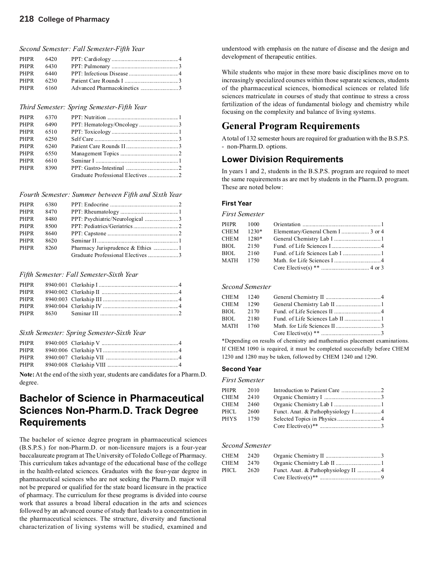### **218 College of Pharmacy**

*Second Semester: Fall Semester-Fifth Year*

| PHPR 6230 |  |  |
|-----------|--|--|
|           |  |  |

#### *Third Semester: Spring Semester-Fifth Year*

| PHPR        | 6370 |  |
|-------------|------|--|
| PHPR        | 6490 |  |
| PHPR        | 6510 |  |
| PHPR        | 6250 |  |
| PHPR        | 6240 |  |
| <b>PHPR</b> | 6550 |  |
| PHPR        | 6610 |  |
| <b>PHPR</b> | 8390 |  |
|             |      |  |
|             |      |  |

#### *Fourth Semester: Summer between Fifth and Sixth Year*

| PHPR        | 6380 |  |
|-------------|------|--|
| <b>PHPR</b> | 8470 |  |
| PHPR        | 8480 |  |
| PHPR        | 8500 |  |
| PHPR        | 8640 |  |
| PHPR        | 8620 |  |
| PHPR        | 8260 |  |
|             |      |  |
|             |      |  |

#### *Fifth Semester: Fall Semester-Sixth Year*

#### *Sixth Semester: Spring Semester-Sixth Year*

| <b>PHPR</b> |  |
|-------------|--|
| PHPR        |  |
| PHPR        |  |

**Note:**At the end of the sixth year, students are candidates for a Pharm.D. degree.

# **Bachelor of Science in Pharmaceutical Sciences Non-Pharm.D. Track Degree Requirements**

The bachelor of science degree program in pharmaceutical sciences (B.S.P.S.) for non-Pharm.D. or non-licensure majors is a four-year baccalaureate program at The University of Toledo College of Pharmacy. This curriculum takes advantage of the educational base of the college in the health-related sciences. Graduates with the four-year degree in pharmaceutical sciences who are not seeking the Pharm.D. major will not be prepared or qualified for the state board licensure in the practice of pharmacy. The curriculum for these programs is divided into course work that assures a broad liberal education in the arts and sciences followed by an advanced course of study that leads to a concentration in the pharmaceutical sciences. The structure, diversity and functional characterization of living systems will be studied, examined and

understood with emphasis on the nature of disease and the design and development of therapeutic entities.

While students who major in these more basic disciplines move on to increasingly specialized courses within those separate sciences, students of the pharmaceutical sciences, biomedical sciences or related life sciences matriculate in courses of study that continue to stress a cross fertilization of the ideas of fundamental biology and chemistry while focusing on the complexity and balance of living systems.

## **General Program Requirements**

A total of 132 semester hours are required for graduation with the B.S.P.S. - non-Pharm.D. options.

### **Lower Division Requirements**

In years 1 and 2, students in the B.S.P.S. program are required to meet the same requirements as are met by students in the Pharm.D. program. These are noted below:

#### **First Year**

*First Semester*

|           | CHEM 1230* | Elementary/General Chem I  3 or 4 |  |
|-----------|------------|-----------------------------------|--|
|           | CHEM 1280* |                                   |  |
|           | BIOL 2150  |                                   |  |
| BIOL 2160 |            |                                   |  |
|           |            |                                   |  |
|           |            |                                   |  |

#### *Second Semester*

|           | CHEM 1240 |  |
|-----------|-----------|--|
| CHEM 1290 |           |  |
| BIOL 2170 |           |  |
| BIOL 2180 |           |  |
| MATH 1760 |           |  |
|           |           |  |

\*Depending on results of chemistry and mathematics placement examinations. If CHEM 1090 is required, it must be completed successfully before CHEM 1230 and 1280 may be taken, followed by CHEM 1240 and 1290.

#### **Second Year**

#### *First Semester*

| PHPR      | 2010 |  |
|-----------|------|--|
| CHEM      | 2410 |  |
| CHEM      | 2460 |  |
| PHCL      | 2600 |  |
| PHYS 1750 |      |  |
|           |      |  |

#### *Second Semester*

| CHEM 2420 |      |  |
|-----------|------|--|
| CHEM      | 2470 |  |
| PHCL.     | 2620 |  |
|           |      |  |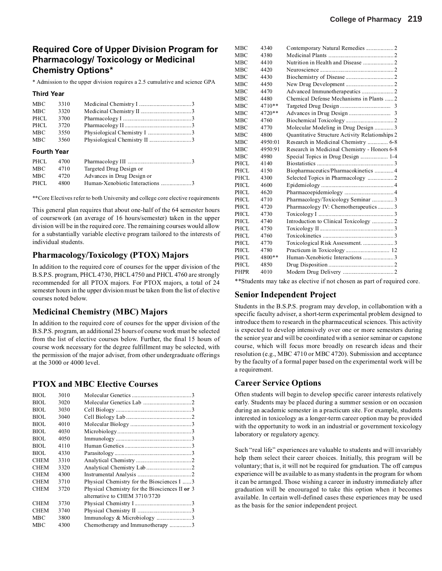## **Required Core of Upper Division Program for Pharmacology/ Toxicology or Medicinal Chemistry Options\***

\* Admission to the upper division requires a 2.5 cumulative and science GPA

#### **Third Year**

| MBC  | 3310 |  |
|------|------|--|
| MBC  | 3320 |  |
| PHCL | 3700 |  |
| PHCL | 3720 |  |
| MBC  | 3550 |  |
| MBC  | 3560 |  |

#### **Fourth Year**

| PHCL | 4700 |                            |
|------|------|----------------------------|
| MBC  | 4710 | Targeted Drug Design or    |
| MBC  | 4720 | Advances in Drug Design or |
| PHCL | 4800 |                            |

\*\*Core Electives refer to both University and college core elective requirements

This general plan requires that about one-half of the 64 semester hours of coursework (an average of 16 hours/semester) taken in the upper division will be in the required core. The remaining courses would allow for a substantially variable elective program tailored to the interests of individual students.

### **Pharmacology/Toxicology (PTOX) Majors**

In addition to the required core of courses for the upper division of the B.S.P.S. program, PHCL 4730, PHCL 4750 and PHCL 4760 are strongly recommended for all PTOX majors. For PTOX majors, a total of 24 semester hours in the upper division must be taken from the list of elective courses noted below.

### **Medicinal Chemistry (MBC) Majors**

In addition to the required core of courses for the upper division of the B.S.P.S. program, an additional 25 hours of course work must be selected from the list of elective courses below. Further, the final 15 hours of course work necessary for the degree fulfillment may be selected, with the permission of the major adviser, from other undergraduate offerings at the 3000 or 4000 level.

### **PTOX and MBC Elective Courses**

| BIOL        | 3010 |                                                |
|-------------|------|------------------------------------------------|
| <b>BIOL</b> | 3020 |                                                |
| BIOL        | 3030 |                                                |
| <b>BIOL</b> | 3040 |                                                |
| BIOL        | 4010 |                                                |
| BIOL        | 4030 |                                                |
| BIOL        | 4050 |                                                |
| <b>BIOL</b> | 4110 |                                                |
| BIOL        | 4330 |                                                |
| <b>CHEM</b> | 3310 |                                                |
| <b>CHEM</b> | 3320 |                                                |
| <b>CHEM</b> | 4300 |                                                |
| <b>CHEM</b> | 3710 | Physical Chemistry for the Biosciences I 3     |
| <b>CHEM</b> | 3720 | Physical Chemistry for the Biosciences II or 3 |
|             |      | alternative to CHEM 3710/3720                  |
| <b>CHEM</b> | 3730 |                                                |
| <b>CHEM</b> | 3740 |                                                |
| MBC         | 3800 |                                                |
| MBC         | 4300 | Chemotherapy and Immunotherapy 3               |

| мвс  | 4340    |                                                 |
|------|---------|-------------------------------------------------|
| MBC  | 4380    |                                                 |
| MBC  | 4410    |                                                 |
| MBC  | 4420    |                                                 |
| MBC  | 4430    |                                                 |
| MBC  | 4450    |                                                 |
| MBC  | 4470    |                                                 |
| мвс  | 4480    | Chemical Defense Mechanisms in Plants 2         |
| мвс  | 4710**  |                                                 |
| MBC  | 4720**  |                                                 |
| MBC  | 4760    |                                                 |
| MBC  | 4770    | Molecular Modeling in Drug Design 3             |
| MBC  | 4800    | Quantitative Structure Activity Relationships 2 |
| MBC  | 4950:01 | Research in Medicinal Chemistry  6-8            |
| MBC  | 4950:91 | Research in Medicinal Chemistry - Honors 6-8    |
| MBC  | 4980    | Special Topics in Drug Design  1-4              |
| PHCL | 4140    |                                                 |
| PHCL | 4150    | Biopharmaceutics/Pharmacokinetics 4             |
| PHCL | 4300    |                                                 |
| PHCL | 4600    |                                                 |
| PHCL | 4620    |                                                 |
| PHCL | 4710    | Pharmacology/Toxicology Seminar 3               |
| PHCL | 4720    | Pharmacology IV: Chemotherapeutics3             |
| PHCL | 4730    |                                                 |
| PHCL | 4740    |                                                 |
| PHCL | 4750    |                                                 |
| PHCL | 4760    |                                                 |
| PHCL | 4770    |                                                 |
| PHCL | 4780    |                                                 |
| PHCL | 4800**  | Human-Xenobiotic Interactions 3                 |
| PHCL | 4850    |                                                 |
| PHPR | 4010    |                                                 |
|      |         |                                                 |

\*\*Students may take as elective if not chosen as part of required core.

### **Senior Independent Project**

Students in the B.S.P.S. program may develop, in collaboration with a specific faculty adviser, a short-term experimental problem designed to introduce them to research in the pharmaceutical sciences. This activity is expected to develop intensively over one or more semesters during the senior year and will be coordinated with a senior seminar or capstone course, which will focus more broadly on research ideas and their resolution (e.g., MBC 4710 or MBC 4720). Submission and acceptance by the faculty of a formal paper based on the experimental work will be a requirement.

### **Career Service Options**

Often students will begin to develop specific career interests relatively early. Students may be placed during a summer session or on occasion during an academic semester in a practicum site. For example, students interested in toxicology as a longer-term career option may be provided with the opportunity to work in an industrial or government toxicology laboratory or regulatory agency.

Such "real life" experiences are valuable to students and will invariably help them select their career choices. Initially, this program will be voluntary; that is, it will not be required for graduation. The off campus experience will be available to as many students in the program for whom it can be arranged. Those wishing a career in industry immediately after graduation will be encouraged to take this option when it becomes available. In certain well-defined cases these experiences may be used as the basis for the senior independent project.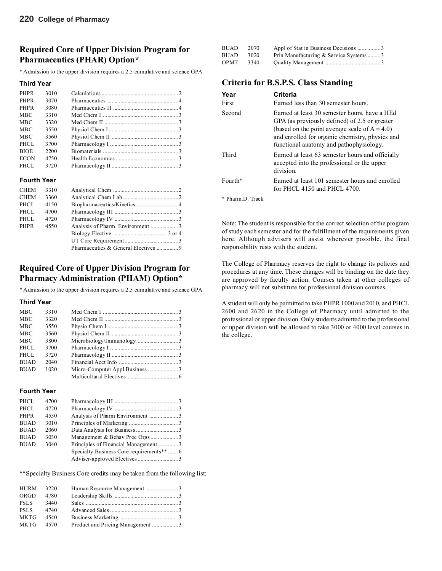## **Required Core of Upper Division Program for Pharmaceutics (PHAR) Option\***

\* Admission to the upper division requires a 2.5 cumulative and science GPA

#### **Third Year**

| <b>PHPR</b> | 3010 |  |
|-------------|------|--|
|             |      |  |
| <b>PHPR</b> | 3070 |  |
| <b>PHPR</b> | 3080 |  |
| <b>MBC</b>  | 3310 |  |
| <b>MBC</b>  | 3320 |  |
| <b>MBC</b>  | 3550 |  |
| <b>MBC</b>  | 3560 |  |
| PHCL        | 3700 |  |
| <b>BIOE</b> | 2200 |  |
| <b>ECON</b> | 4750 |  |
| PHCL        | 3720 |  |

#### **Fourth Year**

| Pharmaceutics & General Electives  9 |
|--------------------------------------|

### **Required Core of Upper Division Program for Pharmacy Administration (PHAM) Option\***

\* Admission to the upper division requires a 2.5 cumulative and science GPA

#### **Third Year**

| <b>MBC</b>  | 3310 |  |
|-------------|------|--|
| <b>MBC</b>  | 3320 |  |
| <b>MBC</b>  | 3550 |  |
| <b>MBC</b>  | 3560 |  |
| <b>MBC</b>  | 3800 |  |
| PHCL        | 3700 |  |
| PHCL        | 3720 |  |
| <b>BUAD</b> | 2040 |  |
| <b>BUAD</b> | 1020 |  |
|             |      |  |
|             |      |  |

#### **Fourth Year**

| PHCL        | 4700 |                                           |  |
|-------------|------|-------------------------------------------|--|
| PHCL        | 4720 |                                           |  |
| <b>PHPR</b> | 4550 |                                           |  |
| <b>BUAD</b> | 3010 |                                           |  |
| <b>BUAD</b> | 2060 |                                           |  |
| <b>BUAD</b> | 3030 | Management & Behav Proc Orgs3             |  |
| <b>BUAD</b> | 3040 | Principles of Financial Management3       |  |
|             |      | Specialty Business Core requirements**  6 |  |
|             |      |                                           |  |
|             |      |                                           |  |

\*\*Specialty Business Core credits may be taken from the following list:

| HURM 3220   |      |  |
|-------------|------|--|
| ORGD        | 4780 |  |
| <b>PSLS</b> | 3440 |  |
| <b>PSLS</b> | 4740 |  |
| <b>MKTG</b> | 4540 |  |
| MKTG 4570   |      |  |
|             |      |  |

| BUAD | 2070 |                                       |  |
|------|------|---------------------------------------|--|
| BUAD | 3020 | Prin Manufacturing & Service Systems3 |  |
| OPMT | 3340 |                                       |  |

## **Criteria for B.S.P.S. Class Standing**

| Year<br>First          | Criteria<br>Earned less than 30 semester hours.                                                                                                                                                                                                  |
|------------------------|--------------------------------------------------------------------------------------------------------------------------------------------------------------------------------------------------------------------------------------------------|
| Second                 | Earned at least 30 semester hours, have a HEd<br>GPA (as previously defined) of 2.5 or greater<br>(based on the point average scale of $A = 4.0$ )<br>and enrolled for organic chemistry, physics and<br>functional anatomy and pathophysiology. |
| Third                  | Earned at least 63 semester hours and officially<br>accepted into the professional or the upper<br>division.                                                                                                                                     |
| $F$ <sub>O</sub> urth* | Earned at least 101 semester hours and enrolled<br>for PHCL 4150 and PHCL 4700.                                                                                                                                                                  |
| Pharm D. Track         |                                                                                                                                                                                                                                                  |

Note: The student is responsible for the correct selection of the program of study each semester and for the fulfillment of the requirements given here. Although advisers will assist wherever possible, the final responsibility rests with the student.

The College of Pharmacy reserves the right to change its policies and procedures at any time. These changes will be binding on the date they are approved by faculty action. Courses taken at other colleges of pharmacy will not substitute for professional division courses.

A student will only be permitted to take PHPR 1000 and 2010, and PHCL 2600 and 2620 in the College of Pharmacy until admitted to the professional or upper division. Only students admitted to the professional or upper division will be allowed to take 3000 or 4000 level courses in the college.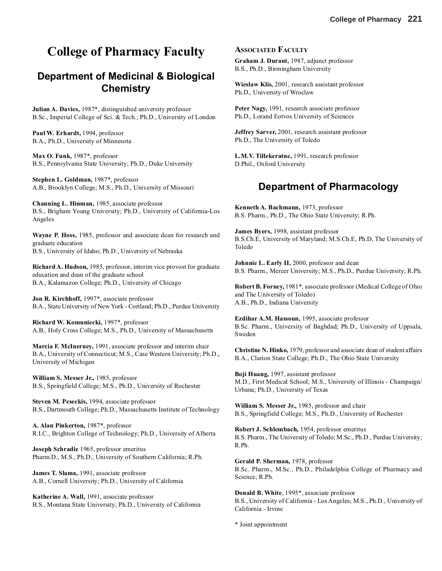# **College of Pharmacy Faculty**

# **Department of Medicinal & Biological Chemistry**

**Julian A. Davies,** 1987\*, distinguished university professor B.Sc., Imperial College of Sci. & Tech.; Ph.D., University of London

**Paul W. Erhardt,** 1994, professor B.A., Ph.D., University of Minnesota

**Max O. Funk,** 1987\*, professor B.S., Pennsylvania State University; Ph.D., Duke University

**Stephen L. Goldman,** 1987\*, professor A.B., Brooklyn College; M.S., Ph.D., University of Missouri

**Channing L. Hinman,** 1985, associate professor B.S., Brigham Young University; Ph.D., University of California-Los Angeles

**Wayne P. Hoss,** 1985, professor and associate dean for research and graduate education B.S., University of Idaho; Ph.D., University of Nebraska

**Richard A. Hudson,** 1985, professor, interim vice provost for graduate education and dean of the graduate school B.A., Kalamazoo College; Ph.D., University of Chicago

**Jon R. Kirchhoff,** 1997\*, associate professor B.A., State University of New York - Cortland; Ph.D., Purdue University

**Richard W. Komuniecki,** 1997\*, professor A.B., Holy Cross College; M.S., Ph.D., University of Massachusetts

**Marcia F. McInerney,** 1991, associate professor and interim chair B.A., University of Connecticut; M.S., Case Western University; Ph.D., University of Michigan

**William S. Messer Jr.,** 1985, professor B.S., Springfield College; M.S., Ph.D., University of Rochester

**Steven M. Peseckis,** 1994, associate professor B.S., Dartmouth College; Ph.D., Massachusetts Institute of Technology

**A. Alan Pinkerton,** 1987\*, professor R.I.C., Brighton College of Technology; Ph.D., University of Alberta

**Joseph Schradie** 1965, professor emeritus Pharm.D., M.S., Ph.D., University of Southern California; R.Ph.

**James T. Slama,** 1991, associate professor A.B., Cornell University; Ph.D., University of California

**Katherine A. Wall,** 1991, associate professor B.S., Montana State University; Ph.D., University of California

### **ASSOCIATED FACULTY**

**Graham J. Durant,** 1987, adjunct professor B.S., Ph.D., Birmingham University

**Wieslaw Klis,** 2001, research assistant professor Ph.D., University of Wroclaw

**Peter Nagy,** 1991, research associate professor Ph.D., Lorand Eotvos University of Sciences

**Jeffrey Sarver,** 2001, research assistant professor Ph.D., The University of Toledo

**L.M.V. Tillekeratne,** 1991, research professor D.Phil., Oxford University

## **Department of Pharmacology**

**Kenneth A. Bachmann,** 1973, professor B.S. Pharm., Ph.D., The Ohio State University; R.Ph.

**James Byers,** 1998, assistant professor B.S.Ch.E, University of Maryland; M.S.Ch.E, Ph.D, The University of Toledo

**Johnnie L. Early II,** 2000, professor and dean B.S. Pharm., Mercer University; M.S., Ph.D., Purdue University; R.Ph.

**Robert B. Forney,** 1981\*, associate professor (Medical College of Ohio and The University of Toledo) A.B., Ph.D., Indiana University

**Ezdihar A.M. Hassoun,** 1995, associate professor B.Sc. Pharm., University of Baghdad; Ph.D., University of Uppsala, Sweden

**Christine N. Hinko,** 1979, professor and associate dean of student affairs B.A., Clarion State College; Ph.D., The Ohio State University

**Boji Huang,** 1997, assistant professor M.D., First Medical School; M.S., University of Illinois - Champaign/ Urbana; Ph.D., University of Texas

**William S. Messer Jr.,** 1985, professor and chair B.S., Springfield College; M.S., Ph.D., University of Rochester

**Robert J. Schlembach,** 1954, professor emeritus B.S. Pharm., The University of Toledo; M.Sc., Ph.D., Purdue University; R.Ph.

**Gerald P. Sherman,** 1978, professor B.Sc. Pharm., M.Sc., Ph.D., Philadelphia College of Pharmacy and Science; R.Ph.

**Donald B. White**, 1995\*, associate professor B.S., University of California - Los Angeles; M.S., Ph.D., University of California - Irvine

\* Joint appointment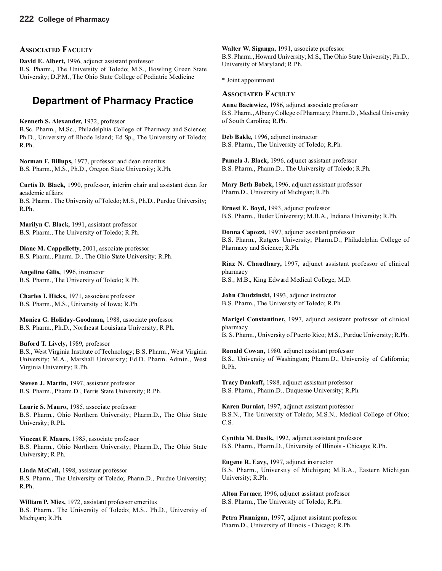### **ASSOCIATED FACULTY**

**David E. Albert,** 1996, adjunct assistant professor B.S. Pharm., The University of Toledo; M.S., Bowling Green State University; D.P.M., The Ohio State College of Podiatric Medicine

# **Department of Pharmacy Practice**

**Kenneth S. Alexander,** 1972, professor B.Sc. Pharm., M.Sc., Philadelphia College of Pharmacy and Science; Ph.D., University of Rhode Island; Ed Sp., The University of Toledo; R.Ph.

**Norman F. Billups,** 1977, professor and dean emeritus B.S. Pharm., M.S., Ph.D., Oregon State University; R.Ph.

**Curtis D. Black,** 1990, professor, interim chair and assistant dean for academic affairs B.S. Pharm., The University of Toledo; M.S., Ph.D., Purdue University; R.Ph.

**Marilyn C. Black,** 1991, assistant professor B.S. Pharm., The University of Toledo; R.Ph.

**Diane M. Cappelletty,** 2001, associate professor B.S. Pharm., Pharm. D., The Ohio State University; R.Ph.

**Angeline Gilis,** 1996, instructor B.S. Pharm., The University of Toledo; R.Ph.

**Charles I. Hicks,** 1971, associate professor B.S. Pharm., M.S., University of Iowa; R.Ph.

**Monica G. Holiday-Goodman,** 1988, associate professor B.S. Pharm., Ph.D., Northeast Louisiana University; R.Ph.

**Buford T. Lively,** 1989, professor B.S., West Virginia Institute of Technology; B.S. Pharm., West Virginia University; M.A., Marshall University; Ed.D. Pharm. Admin., West Virginia University; R.Ph.

**Steven J. Martin,** 1997, assistant professor B.S. Pharm., Pharm.D., Ferris State University; R.Ph.

**Laurie S. Mauro,** 1985, associate professor B.S. Pharm., Ohio Northern University; Pharm.D., The Ohio State University; R.Ph.

**Vincent F. Mauro,** 1985, associate professor B.S. Pharm., Ohio Northern University; Pharm.D., The Ohio State University; R.Ph.

**Linda McCall,** 1998, assistant professor B.S. Pharm., The University of Toledo; Pharm.D., Purdue University; R.Ph.

**William P. Mies,** 1972, assistant professor emeritus B.S. Pharm., The University of Toledo; M.S., Ph.D., University of Michigan; R.Ph.

**Walter W. Siganga,** 1991, associate professor B.S. Pharm., Howard University; M.S., The Ohio State University; Ph.D., University of Maryland; R.Ph.

\* Joint appointment

#### **ASSOCIATED FACULTY**

**Anne Baciewicz,** 1986, adjunct associate professor B.S. Pharm., Albany College of Pharmacy; Pharm.D., Medical University of South Carolina; R.Ph.

**Deb Bakle,** 1996, adjunct instructor B.S. Pharm., The University of Toledo; R.Ph.

**Pamela J. Black,** 1996, adjunct assistant professor B.S. Pharm., Pharm.D., The University of Toledo; R.Ph.

**Mary Beth Bobek,** 1996, adjunct assistant professor Pharm.D., University of Michigan; R.Ph.

**Ernest E. Boyd,** 1993, adjunct professor B.S. Pharm., Butler University; M.B.A., Indiana University; R.Ph.

**Donna Capozzi,** 1997, adjunct assistant professor B.S. Pharm., Rutgers University; Pharm.D., Philadelphia College of Pharmacy and Science; R.Ph.

**Riaz N. Chaudhary,** 1997, adjunct assistant professor of clinical pharmacy B.S., M.B., King Edward Medical College; M.D.

**John Chudzinski,** 1993, adjunct instructor B.S. Pharm., The University of Toledo; R.Ph.

**Marigel Constantiner,** 1997, adjunct assistant professor of clinical pharmacy B. S. Pharm., University of Puerto Rico; M.S., Purdue University; R.Ph.

**Ronald Cowan,** 1980, adjunct assistant professor B.S., University of Washington; Pharm.D., University of California; R.Ph.

**Tracy Dankoff,** 1988, adjunct assistant professor B.S. Pharm., Pharm.D., Duquesne University; R.Ph.

**Karen Durniat,** 1997, adjunct assistant professor B.S.N., The University of Toledo; M.S.N., Medical College of Ohio; C.S.

**Cynthia M. Dusik,** 1992, adjunct assistant professor B.S. Pharm., Pharm.D., University of Illinois - Chicago; R.Ph.

**Eugene R. Eavy,** 1997, adjunct instructor B.S. Pharm., University of Michigan; M.B.A., Eastern Michigan University; R.Ph.

**Alton Farmer,** 1996, adjunct assistant professor B.S. Pharm., The University of Toledo; R.Ph.

**Petra Flannigan,** 1997, adjunct assistant professor Pharm.D., University of Illinois - Chicago; R.Ph.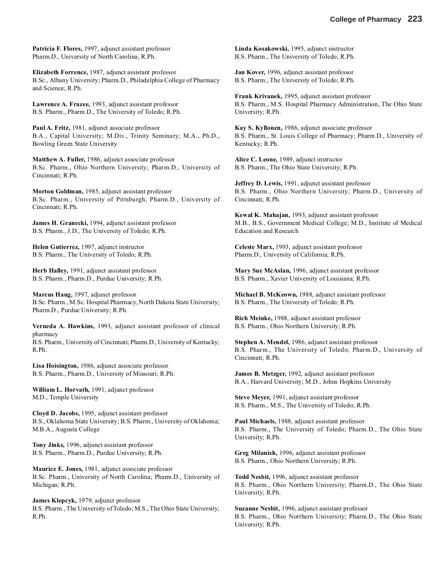**Patricia F. Flores,** 1997, adjunct assistant professor Pharm.D., University of North Carolina; R.Ph.

**Elizabeth Forrence,** 1987, adjunct assistant professor B.Sc., Albany University; Pharm.D., Philadelphia College of Pharmacy and Science; R.Ph.

**Lawrence A. Frazee,** 1993, adjunct assistant professor B.S. Pharm., Pharm.D., The University of Toledo; R.Ph.

**Paul A. Fritz,** 1981, adjunct associate professor B.A., Capital University; M.Div., Trinity Seminary; M.A., Ph.D., Bowling Green State University

**Matthew A. Fuller,** 1986, adjunct associate professor B.Sc. Pharm., Ohio Northern University; Pharm.D., University of Cincinnati; R.Ph.

**Morton Goldman,** 1985, adjunct assistant professor B.Sc. Pharm., University of Pittsburgh; Pharm.D., University of Cincinnati; R.Ph.

**James H. Granecki,** 1994, adjunct assistant professor B.S. Pharm., J.D., The University of Toledo; R.Ph.

**Helen Gutierrez,** 1997, adjunct instructor B.S. Pharm., The University of Toledo; R.Ph.

**Herb Halley,** 1991, adjunct assistant professor B.S. Pharm., Pharm.D., Purdue University; R.Ph.

**Marcus Haug,** 1997, adjunct professor B.Sc. Pharm., M.Sc. Hospital Pharmacy, North Dakota State University; Pharm.D., Purdue University; R.Ph.

**Verneda A. Hawkins,** 1993, adjunct assistant professor of clinical pharmacy B.S. Pharm., University of Cincinnati; Pharm.D., University of Kentucky; R.Ph.

**Lisa Hoisington,** 1986, adjunct associate professor B.S. Pharm., Pharm.D., University of Missouri; R.Ph.

**William L. Horvath,** 1991, adjunct professor M.D., Temple University

**Cloyd D. Jacobs,** 1995, adjunct assistant professor B.S., Oklahoma State University; B.S. Pharm., University of Oklahoma; M.B.A., Augusta College

**Tony Jinks,** 1996, adjunct assistant professor B.S. Pharm., Pharm.D., Purdue University; R.Ph.

**Maurice E. Jones,** 1981, adjunct associate professor B.Sc. Pharm., University of North Carolina; Pharm.D., University of Michigan; R.Ph.

**James Klepcyk,** 1979, adjunct professor B.S. Pharm., The University of Toledo; M.S., The Ohio State University; R.Ph.

**Linda Kosakowski,** 1995, adjunct instructor B.S. Pharm., The University of Toledo; R.Ph.

**Jan Kover,** 1996, adjunct assistant professor B.S. Pharm., The University of Toledo; R.Ph.

**Frank Krivanek,** 1995, adjunct assistant professor B.S. Pharm., M.S. Hospital Pharmacy Administration, The Ohio State University; R.Ph.

**Kay S. Kyllonen,** 1986, adjunct associate professor B.S. Pharm., St. Louis College of Pharmacy; Pharm.D., University of Kentucky; R.Ph.

**Alice C. Leone,** 1989, adjunct instructor B.S. Pharm., The Ohio State University; R.Ph.

**Jeffrey D. Lewis,** 1991, adjunct assistant professor B.S. Pharm., Ohio Northern University; Pharm.D., University of Cincinnati; R.Ph.

**Kewal K. Mahajan,** 1993, adjunct assistant professor M.B., B.S., Government Medical College; M.D., Institute of Medical Education and Research

**Celeste Marx,** 1993, adjunct assistant professor Pharm.D., University of California; R.Ph.

**Mary Sue McAslan,** 1996, adjunct assistant professor B.S. Pharm., Xavier University of Louisiana; R.Ph.

**Michael B. McKeown,** 1988, adjunct assistant professor B.S. Pharm., The University of Toledo; R.Ph.

**Rich Meinke,** 1988, adjunct assistant professor B.S. Pharm., Ohio Northern University; R.Ph.

**Stephen A. Mendel,** 1986, adjunct assistant professor B.S. Pharm., The University of Toledo; Pharm.D., University of Cincinnati; R.Ph.

**James B. Metzger,** 1992, adjunct assistant professor B.A., Harvard University; M.D., Johns Hopkins University

**Steve Meyer,** 1991, adjunct assistant professor B.S. Pharm., M.S., The University of Toledo; R.Ph.

**Paul Michaels,** 1988, adjunct assistant professor B.S. Pharm., The University of Toledo; Pharm.D., The Ohio State University; R.Ph.

**Greg Milanich,** 1996, adjunct assistant professor B.S. Pharm., Ohio Northern University; R.Ph.

**Todd Nesbit,** 1996, adjunct assistant professor B.S. Pharm., Ohio Northern University; Pharm.D., The Ohio State University; R.Ph.

**Suzanne Nesbit,** 1996, adjunct assistant professor B.S. Pharm., Ohio Northern University; Pharm.D., The Ohio State University; R.Ph.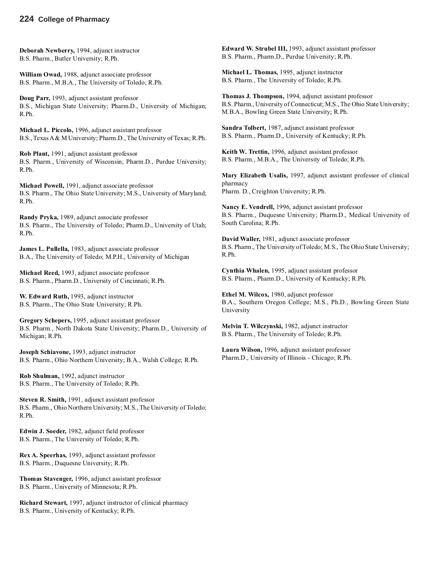### **224 College of Pharmacy**

**Deborah Newberry,** 1994, adjunct instructor B.S. Pharm., Butler University; R.Ph.

**William Owad,** 1988, adjunct associate professor B.S. Pharm., M.B.A., The University of Toledo; R.Ph.

**Doug Parr,** 1993, adjunct assistant professor B.S., Michigan State University; Pharm.D., University of Michigan; R.Ph.

**Michael L. Piccolo,** 1996, adjunct assistant professor B.S., Texas A & M University; Pharm.D., The University of Texas; R.Ph.

**Rob Plant,** 1991, adjunct assistant professor B.S. Pharm., University of Wisconsin; Pharm.D., Purdue University; R.Ph.

**Michael Powell,** 1991, adjunct associate professor B.S. Pharm., The Ohio State University; M.S., University of Maryland; R.Ph.

**Randy Pryka,** 1989, adjunct associate professor B.S. Pharm., The University of Toledo; Pharm.D., University of Utah; R.Ph.

**James L. Pullella,** 1983, adjunct associate professor B.A., The University of Toledo; M.P.H., University of Michigan

**Michael Reed,** 1993, adjunct associate professor B.S. Pharm., Pharm.D., University of Cincinnati; R.Ph.

**W. Edward Ruth,** 1993, adjunct instructor B.S. Pharm., The Ohio State University; R.Ph.

**Gregory Schepers,** 1995, adjunct assistant professor B.S. Pharm., North Dakota State University; Pharm.D., University of Michigan; R.Ph.

**Joseph Schiavone,** 1993, adjunct instructor B.S. Pharm., Ohio Northern University; B.A., Walsh College; R.Ph.

**Rob Shulman,** 1992, adjunct instructor B.S. Pharm., The University of Toledo; R.Ph.

**Steven R. Smith,** 1991, adjunct assistant professor B.S. Pharm., Ohio Northern University; M.S., The University of Toledo; R.Ph.

**Edwin J. Soeder,** 1982, adjunct field professor B.S. Pharm., The University of Toledo; R.Ph.

**Rex A. Speerhas,** 1993, adjunct assistant professor B.S. Pharm., Duquesne University; R.Ph.

**Thomas Stavenger,** 1996, adjunct assistant professor B.S. Pharm., University of Minnesota; R.Ph.

**Richard Stewart,** 1997, adjunct instructor of clinical pharmacy B.S. Pharm., University of Kentucky; R.Ph.

**Edward W. Strubel III,** 1993, adjunct assistant professor B.S. Pharm., Pharm.D., Purdue University; R.Ph.

**Michael L. Thomas,** 1995, adjunct instructor B.S. Pharm., The University of Toledo; R.Ph.

**Thomas J. Thompson,** 1994, adjunct assistant professor B.S. Pharm., University of Connecticut; M.S., The Ohio State University; M.B.A., Bowling Green State University; R.Ph.

**Sandra Tolbert,** 1987, adjunct assistant professor B.S. Pharm., Pharm.D., University of Kentucky; R.Ph.

**Keith W. Trettin,** 1996, adjunct assistant professor B.S. Pharm., M.B.A., The University of Toledo; R.Ph.

**Mary Elizabeth Usalis,** 1997, adjunct assistant professor of clinical pharmacy Pharm. D., Creighton University; R.Ph.

**Nancy E. Vendrell,** 1996, adjunct assistant professor B.S. Pharm., Duquesne University; Pharm.D., Medical University of South Carolina; R.Ph.

**David Waller,** 1981, adjunct associate professor B.S. Pharm., The University of Toledo; M.S., The Ohio State University; R.Ph.

**Cynthia Whalen,** 1995, adjunct assistant professor B.S. Pharm., Pharm.D., University of Kentucky; R.Ph.

**Ethel M. Wilcox,** 1980, adjunct professor B.A., Southern Oregon College; M.S., Ph.D., Bowling Green State University

**Melvin T. Wilczynski,** 1982, adjunct instructor B.S. Pharm., The University of Toledo; R.Ph.

**Laura Wilson,** 1996, adjunct assistant professor Pharm.D., University of Illinois - Chicago; R.Ph.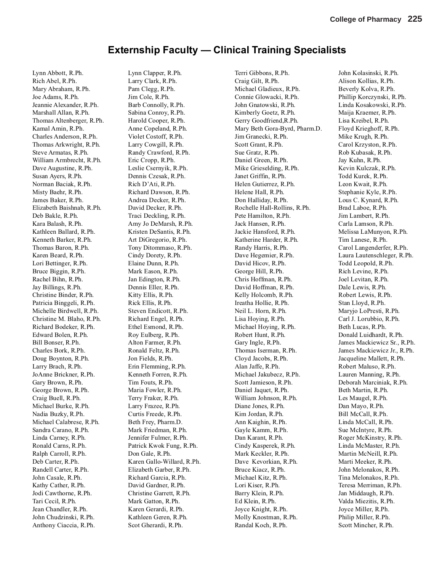## **Externship Faculty — Clinical Training Specialists**

Lynn Abbott, R.Ph. Rich Abel, R.Ph. Mary Abraham, R.Ph. Joe Adams, R.Ph. Jeannie Alexander, R.Ph. Marshall Allan, R.Ph. Thomas Altenberger, R.Ph. Kamal Amin, R.Ph. Charles Anderson, R.Ph. Thomas Arkwright, R.Ph. Steve Armatas, R.Ph. William Armbrecht, R.Ph. Dave Augustine, R.Ph. Susan Ayers, R.Ph. Norman Baciak, R.Ph. Misty Baehr, R.Ph. James Baker, R.Ph. Elizabeth Baishnab, R.Ph. Deb Bakle, R.Ph. Kara Balash, R.Ph. Kathleen Ballard, R.Ph. Kenneth Barker, R.Ph. Thomas Baron, R.Ph. Karen Beard, R.Ph. Lori Bettinger, R.Ph. Bruce Biggin, R.Ph. Rachel Bihn, R.Ph. Jay Billings, R.Ph. Christine Binder, R.Ph. Patricia Binggeli, R.Ph. Michelle Birdwell, R.Ph. Christine M. Blaho, R.Ph. Richard Bodeker, R.Ph. Edward Bolen, R.Ph. Bill Bonser, R.Ph. Charles Bork, R.Ph. Doug Boynton, R.Ph. Larry Brach, R.Ph. JoAnne Brickner, R.Ph. Gary Brown, R.Ph. George Brown, R.Ph. Craig Buell, R.Ph. Michael Burke, R.Ph. Nadia Buzky, R.Ph. Michael Calabrese, R.Ph. Sandra Carano, R.Ph. Linda Carney, R.Ph. Ronald Carns, R.Ph. Ralph Carroll, R.Ph. Deb Carter, R.Ph. Randell Carter, R.Ph. John Casale, R.Ph. Kathy Cather, R.Ph. Jodi Cawthorne, R.Ph. Tari Cecil, R.Ph. Jean Chandler, R.Ph. John Chudzinski, R.Ph. Anthony Ciaccia, R.Ph.

Lynn Clapper, R.Ph. Larry Clark, R.Ph. Pam Clegg, R.Ph. Jim Cole, R.Ph. Barb Connolly, R.Ph. Sabina Conroy, R.Ph. Harold Cooper, R.Ph. Anne Copeland, R.Ph. Violet Costoff, R.Ph. Larry Cowgill, R.Ph. Randy Crawford, R.Ph. Eric Cropp, R.Ph. Leslie Csernyik, R.Ph. Dennis Czesak, R.Ph. Rich D'Ati, R.Ph. Richard Dawson, R.Ph. Andrea Decker, R.Ph. David Decker, R.Ph. Traci Deckling, R.Ph. Amy Jo DeMarsh, R.Ph. Kristen DeSantis, R.Ph. Art DiGregorio, R.Ph. Tony Ditommaso, R.Ph. Cindy Dorety, R.Ph. Elaine Dunn, R.Ph. Mark Eason, R.Ph. Jan Edington, R.Ph. Dennis Eller, R.Ph. Kitty Ellis, R.Ph. Rick Ellis, R.Ph. Steven Endicott, R.Ph. Richard Engel, R.Ph. Ethel Esmond, R.Ph. Roy Eulberg, R.Ph. Alton Farmer, R.Ph. Ronald Feltz, R.Ph. Jon Fields, R.Ph. Erin Flemming, R.Ph. Kenneth Forren, R.Ph. Tim Fouts, R.Ph. Maria Fowler, R.Ph. Terry Fraker, R.Ph. Larry Frazee, R.Ph. Curtis Freede, R.Ph. Beth Frey, Pharm.D. Mark Friedman, R.Ph. Jennifer Fulmer, R.Ph. Patrick Kwok Fung, R.Ph. Don Gale, R.Ph. Karen Gallo-Willard, R.Ph. Elizabeth Garber, R.Ph. Richard Garcia, R.Ph. David Gardner, R.Ph. Christine Garrett, R.Ph. Mark Gatton, R.Ph. Karen Gerardi, R.Ph. Kathleen Geren, R.Ph. Scot Gherardi, R.Ph.

Terri Gibbons, R.Ph. Craig Gilt, R.Ph. Michael Gladieux, R.Ph. Connie Glowacki, R.Ph. John Gnatowski, R.Ph. Kimberly Goetz, R.Ph. Gerry Goodfriend,R.Ph. Mary Beth Gora-Byrd, Pharm.D. Jim Granecki, R.Ph. Scott Grant, R.Ph. Sue Gratz, R.Ph. Daniel Green, R.Ph. Mike Grieselding, R.Ph. Janet Griffin, R.Ph. Helen Gutierrez, R.Ph. Helene Hall, R.Ph. Don Halliday, R.Ph. Rochelle Hall-Rollins, R.Ph. Pete Hamilton, R.Ph. Jack Hansen, R.Ph. Jackie Hansford, R.Ph. Katherine Harder, R.Ph. Randy Harris, R.Ph. Dave Hegemier, R.Ph. David Hicov, R.Ph. George Hill, R.Ph. Chris Hoffman, R.Ph. David Hoffman, R.Ph. Kelly Holcomb, R.Ph. Ireatha Hollie, R.Ph. Neil L. Horn, R.Ph. Lisa Hoying, R.Ph. Michael Hoying, R.Ph. Robert Hunt, R.Ph. Gary Ingle, R.Ph. Thomas Iserman, R.Ph. Cloyd Jacobs, R.Ph. Alan Jaffe, R.Ph. Michael Jakubecz, R.Ph. Scott Jamieson, R.Ph. Daniel Jaquet, R.Ph. William Johnson, R.Ph. Diane Jones, R.Ph. Kim Jordan, R.Ph. Ann Kaighin, R.Ph. Gayle Kamm, R.Ph. Dan Karant, R.Ph. Cindy Kasperek, R.Ph. Mark Keckler, R.Ph. Dave Kevorkian, R.Ph. Bruce Kiacz, R.Ph. Michael Kitz, R.Ph. Lori Kiser, R.Ph. Barry Klein, R.Ph. Ed Klein, R.Ph. Joyce Knight, R.Ph. Molly Knostman, R.Ph. Randal Koch, R.Ph.

John Kolasinski, R.Ph. Alison Kollias, R.Ph. Beverly Kolva, R.Ph. Phillip Korczynski, R.Ph. Linda Kosakowski, R.Ph. Maija Kraemer, R.Ph. Lisa Kreibel, R.Ph. Floyd Krieghoff, R.Ph. Mike Krugh, R.Ph. Carol Krzyston, R.Ph. Rob Kubasak, R.Ph. Jay Kuhn, R.Ph. Kevin Kulczak, R.Ph. Todd Kurek, R.Ph. Leon Kwait, R.Ph. Stephanie Kyle, R.Ph. Lous C. Kynard, R.Ph. Brad Laboe, R.Ph. Jim Lambert, R.Ph. Carla Lamson, R.Ph. Melissa LaMunyon, R.Ph. Tim Lanese, R.Ph. Carol Langenderfer, R.Ph. Laura Lautenschleger, R.Ph. Todd Leopold, R.Ph. Rich Levine, R.Ph. Joel Levitan, R.Ph. Dale Lewis, R.Ph. Robert Lewis, R.Ph. Stan Lloyd, R.Ph. Maryjo LoPresti, R.Ph. Carl J. Lorubbio, R.Ph. Beth Lucas, R.Ph. Donald Luidhardt, R.Ph. James Mackiewicz Sr., R.Ph. James Mackiewicz Jr., R.Ph. Jacqueline Mallett, R.Ph. Robert Maluso, R.Ph. Lauren Manning, R.Ph. Deborah Marciniak, R.Ph. Beth Martin, R.Ph. Les Maugel, R.Ph. Dan Mayo, R.Ph. Bill McCall, R.Ph. Linda McCall, R.Ph. Sue McIntyre, R.Ph. Roger McKinstry, R.Ph. Linda McMaster, R.Ph. Martin McNeill, R.Ph. Marti Meeker, R.Ph. John Melonakos, R.Ph. Tina Melonakos, R.Ph. Teresa Merriman, R.Ph. Jan Middaugh, R.Ph. Valda Miezitis, R.Ph. Joyce Miller, R.Ph. Philip Miller, R.Ph. Scott Mincher, R.Ph.